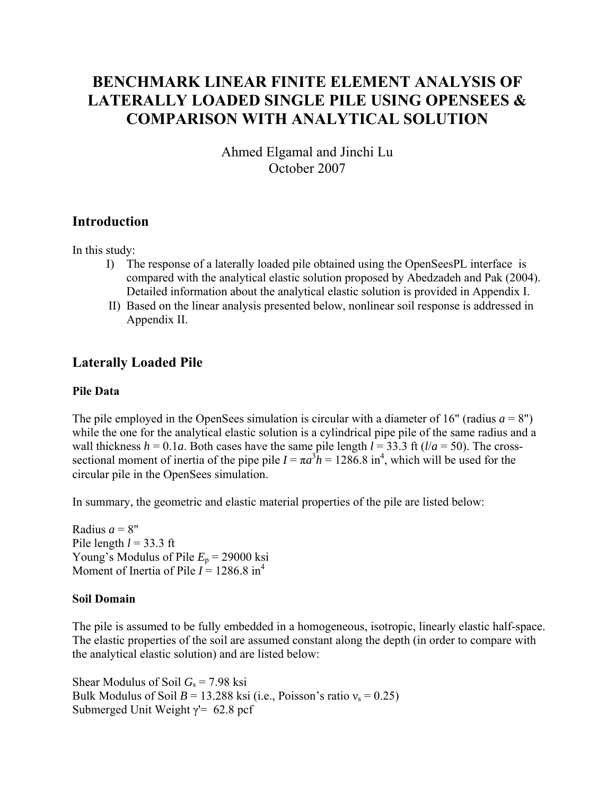# **BENCHMARK LINEAR FINITE ELEMENT ANALYSIS OF LATERALLY LOADED SINGLE PILE USING OPENSEES & COMPARISON WITH ANALYTICAL SOLUTION**

Ahmed Elgamal and Jinchi Lu October 2007

### **Introduction**

In this study:

- I) The response of a laterally loaded pile obtained using the OpenSeesPL interface is compared with the analytical elastic solution proposed by Abedzadeh and Pak (2004). Detailed information about the analytical elastic solution is provided in Appendix I.
- II) Based on the linear analysis presented below, nonlinear soil response is addressed in Appendix II.

### **Laterally Loaded Pile**

#### **Pile Data**

The pile employed in the OpenSees simulation is circular with a diameter of 16" (radius  $a = 8$ ") while the one for the analytical elastic solution is a cylindrical pipe pile of the same radius and a wall thickness  $h = 0.1a$ . Both cases have the same pile length  $l = 33.3$  ft ( $l/a = 50$ ). The crosssectional moment of inertia of the pipe pile  $I = \pi a^3 h = 1286.8$  in<sup>4</sup>, which will be used for the circular pile in the OpenSees simulation.

In summary, the geometric and elastic material properties of the pile are listed below:

Radius  $a = 8$ " Pile length  $l = 33.3$  ft Young's Modulus of Pile  $E_p$  = 29000 ksi Moment of Inertia of Pile  $I = 1286.8 \text{ in}^4$ 

#### **Soil Domain**

The pile is assumed to be fully embedded in a homogeneous, isotropic, linearly elastic half-space. The elastic properties of the soil are assumed constant along the depth (in order to compare with the analytical elastic solution) and are listed below:

Shear Modulus of Soil *G*s = 7.98 ksi Bulk Modulus of Soil  $B = 13.288$  ksi (i.e., Poisson's ratio  $v_s = 0.25$ ) Submerged Unit Weight  $\gamma$ <sup>'=</sup> 62.8 pcf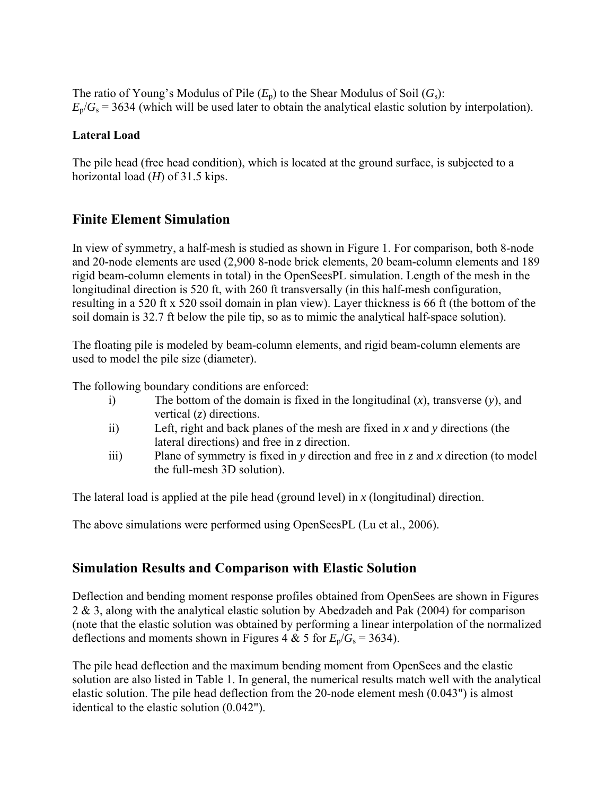The ratio of Young's Modulus of Pile  $(E_p)$  to the Shear Modulus of Soil  $(G_s)$ :  $E_p/G_s = 3634$  (which will be used later to obtain the analytical elastic solution by interpolation).

#### **Lateral Load**

The pile head (free head condition), which is located at the ground surface, is subjected to a horizontal load (*H*) of 31.5 kips.

### **Finite Element Simulation**

In view of symmetry, a half-mesh is studied as shown in Figure 1. For comparison, both 8-node and 20-node elements are used (2,900 8-node brick elements, 20 beam-column elements and 189 rigid beam-column elements in total) in the OpenSeesPL simulation. Length of the mesh in the longitudinal direction is 520 ft, with 260 ft transversally (in this half-mesh configuration, resulting in a 520 ft x 520 ssoil domain in plan view). Layer thickness is 66 ft (the bottom of the soil domain is 32.7 ft below the pile tip, so as to mimic the analytical half-space solution).

The floating pile is modeled by beam-column elements, and rigid beam-column elements are used to model the pile size (diameter).

The following boundary conditions are enforced:

- i) The bottom of the domain is fixed in the longitudinal (*x*), transverse (*y*), and vertical (*z*) directions.
- ii) Left, right and back planes of the mesh are fixed in *x* and *y* directions (the lateral directions) and free in *z* direction.
- iii) Plane of symmetry is fixed in *y* direction and free in *z* and *x* direction (to model the full-mesh 3D solution).

The lateral load is applied at the pile head (ground level) in *x* (longitudinal) direction.

The above simulations were performed using OpenSeesPL (Lu et al., 2006).

### **Simulation Results and Comparison with Elastic Solution**

Deflection and bending moment response profiles obtained from OpenSees are shown in Figures 2 & 3, along with the analytical elastic solution by Abedzadeh and Pak (2004) for comparison (note that the elastic solution was obtained by performing a linear interpolation of the normalized deflections and moments shown in Figures 4 & 5 for  $E_p/G_s = 3634$ .

The pile head deflection and the maximum bending moment from OpenSees and the elastic solution are also listed in Table 1. In general, the numerical results match well with the analytical elastic solution. The pile head deflection from the 20-node element mesh (0.043") is almost identical to the elastic solution (0.042").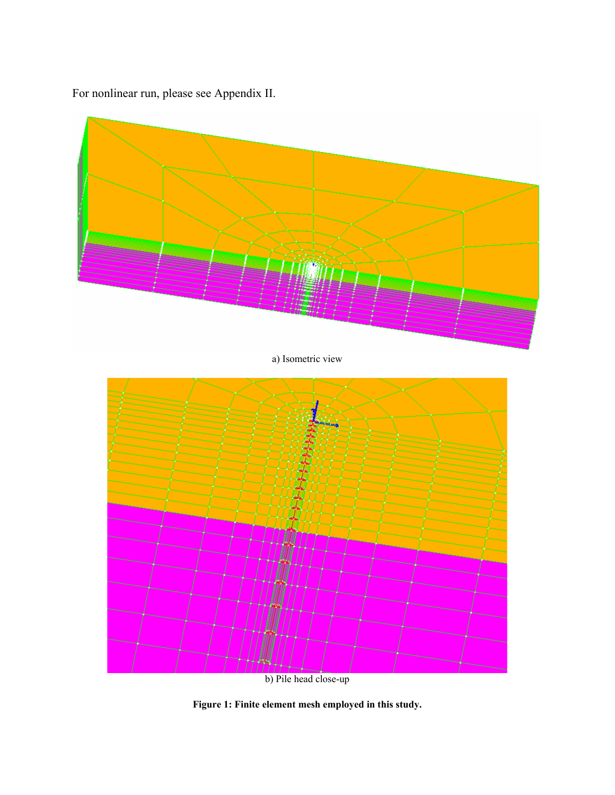For nonlinear run, please see Appendix II.



 $\begin{array}{c} \hline \text{b)} \text{Pile head close-up} \end{array}$ 

**Figure 1: Finite element mesh employed in this study.**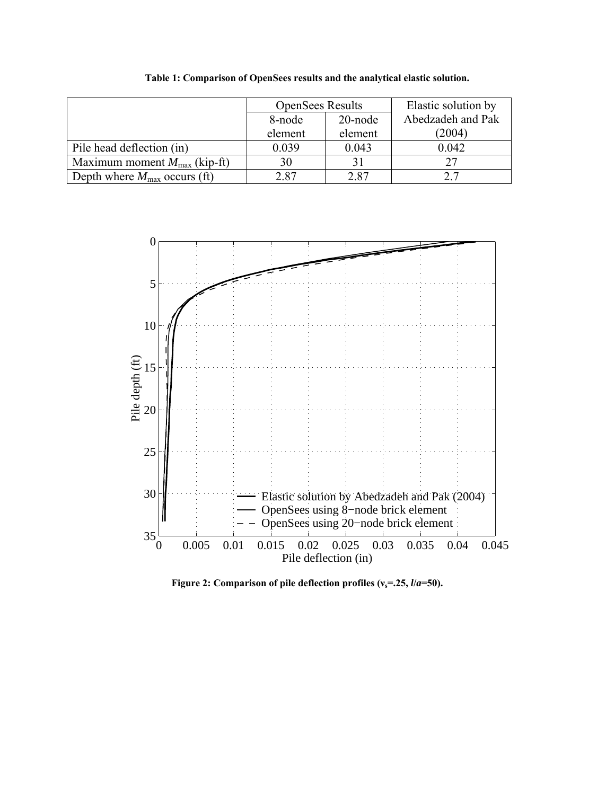|                                          | <b>OpenSees Results</b> |         | Elastic solution by<br>Abedzadeh and Pak |  |
|------------------------------------------|-------------------------|---------|------------------------------------------|--|
|                                          | 8-node                  | 20-node |                                          |  |
|                                          | element                 | element | (2004)                                   |  |
| Pile head deflection (in)                | 0.039                   | 0.043   | 0.042                                    |  |
| Maximum moment $M_{\text{max}}$ (kip-ft) | 30                      |         | 27                                       |  |
| Depth where $M_{\text{max}}$ occurs (ft) | 2.87                    | 2.87    | 2.7                                      |  |

**Table 1: Comparison of OpenSees results and the analytical elastic solution.** 



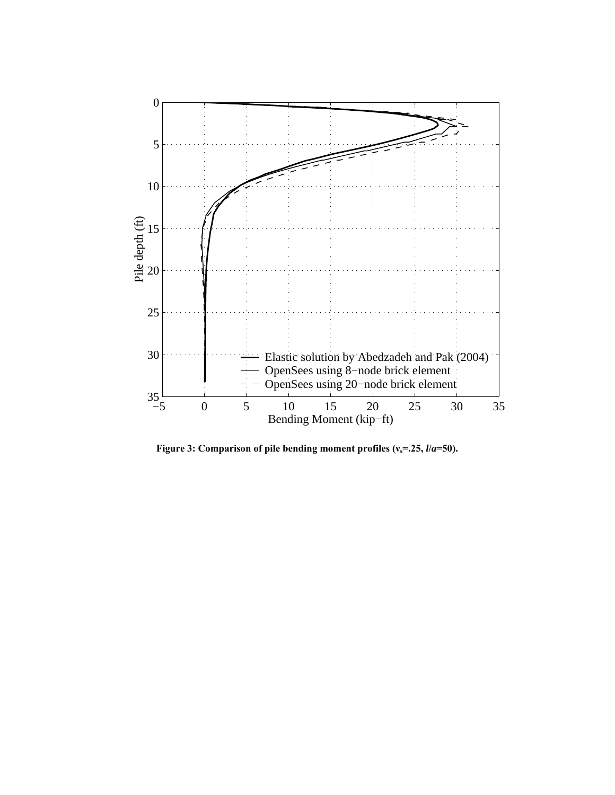

**Figure 3: Comparison of pile bending moment profiles (νs=.25,** *l***/***a***=50).**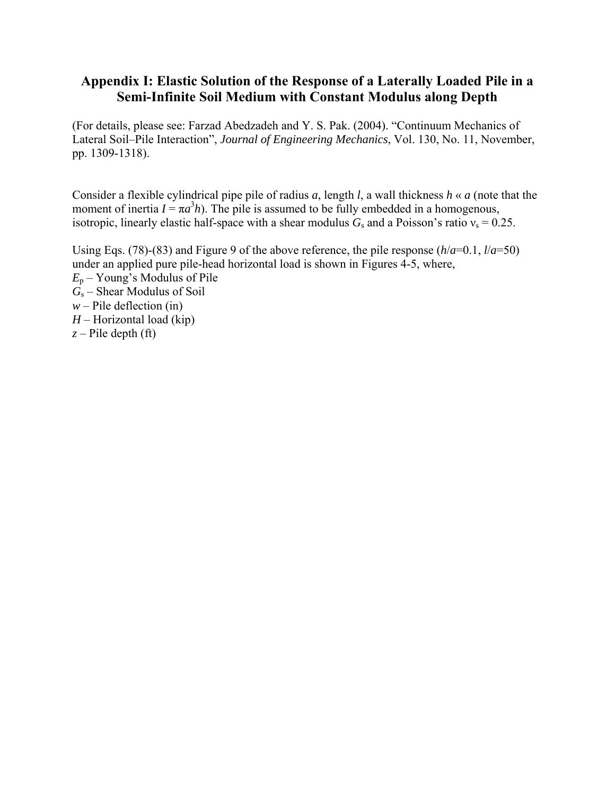### **Appendix I: Elastic Solution of the Response of a Laterally Loaded Pile in a Semi-Infinite Soil Medium with Constant Modulus along Depth**

(For details, please see: Farzad Abedzadeh and Y. S. Pak. (2004). "Continuum Mechanics of Lateral Soil–Pile Interaction", *Journal of Engineering Mechanics*, Vol. 130, No. 11, November, pp. 1309-1318).

Consider a flexible cylindrical pipe pile of radius *a*, length *l*, a wall thickness *h* « *a* (note that the moment of inertia  $I = \pi a^3 h$ ). The pile is assumed to be fully embedded in a homogenous, isotropic, linearly elastic half-space with a shear modulus  $G_s$  and a Poisson's ratio  $v_s = 0.25$ .

Using Eqs. (78)-(83) and Figure 9 of the above reference, the pile response  $(h/a=0.1, l/a=50)$ under an applied pure pile-head horizontal load is shown in Figures 4-5, where, *E*p – Young's Modulus of Pile *G*s – Shear Modulus of Soil  $w$  – Pile deflection (in) *H* – Horizontal load (kip) *z* – Pile depth (ft)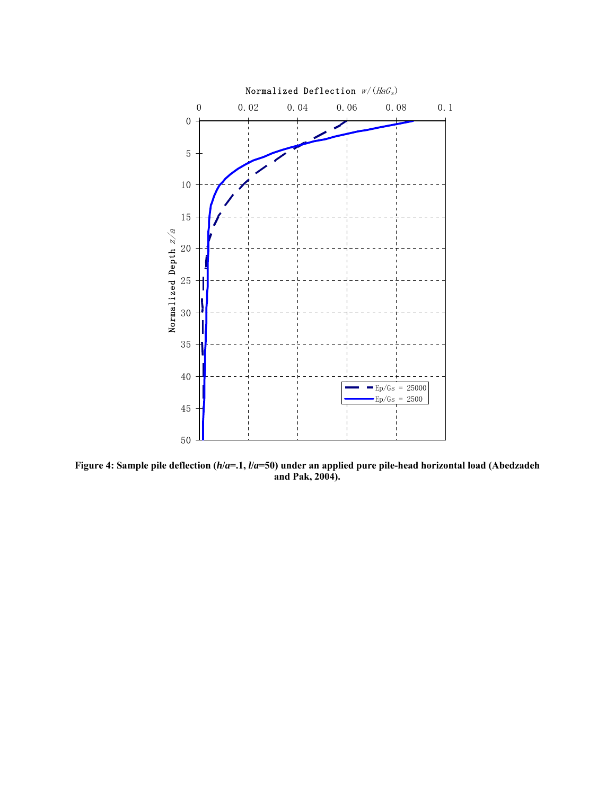

**Figure 4: Sample pile deflection (***h***/***a***=.1,** *l***/***a***=50) under an applied pure pile-head horizontal load (Abedzadeh and Pak, 2004).**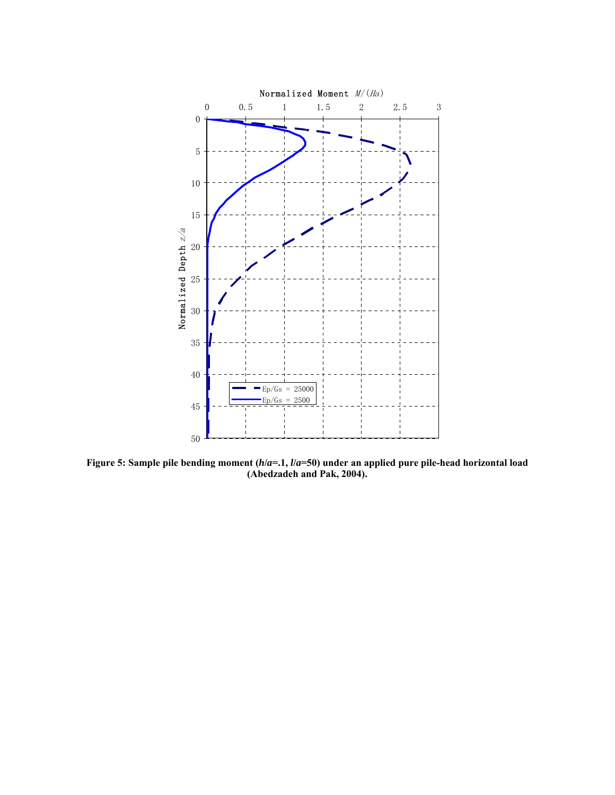

**Figure 5: Sample pile bending moment (***h***/***a***=.1,** *l***/***a***=50) under an applied pure pile-head horizontal load (Abedzadeh and Pak, 2004).**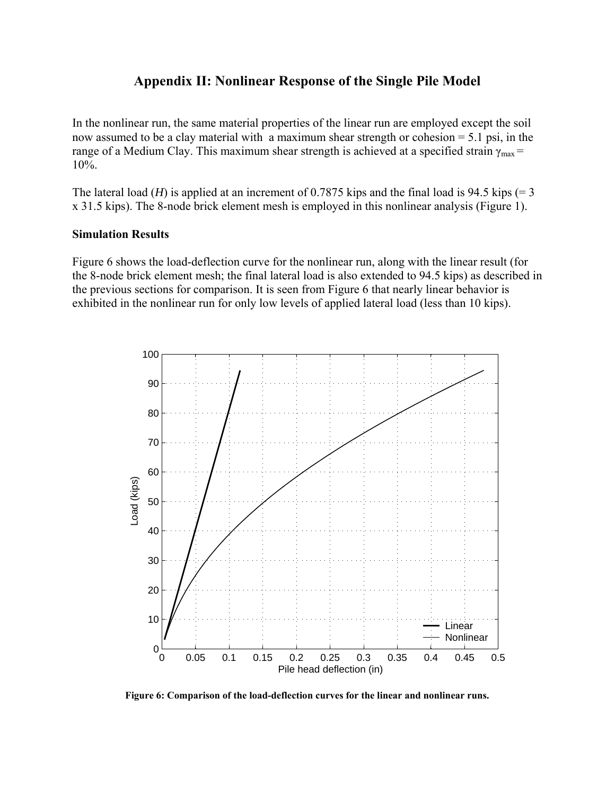#### **Appendix II: Nonlinear Response of the Single Pile Model**

In the nonlinear run, the same material properties of the linear run are employed except the soil now assumed to be a clay material with a maximum shear strength or cohesion = 5.1 psi, in the range of a Medium Clay. This maximum shear strength is achieved at a specified strain  $\gamma_{\text{max}}$  = 10%.

The lateral load (*H*) is applied at an increment of 0.7875 kips and the final load is 94.5 kips (= 3 x 31.5 kips). The 8-node brick element mesh is employed in this nonlinear analysis (Figure 1).

#### **Simulation Results**

Figure 6 shows the load-deflection curve for the nonlinear run, along with the linear result (for the 8-node brick element mesh; the final lateral load is also extended to 94.5 kips) as described in the previous sections for comparison. It is seen from Figure 6 that nearly linear behavior is exhibited in the nonlinear run for only low levels of applied lateral load (less than 10 kips).



**Figure 6: Comparison of the load-deflection curves for the linear and nonlinear runs.**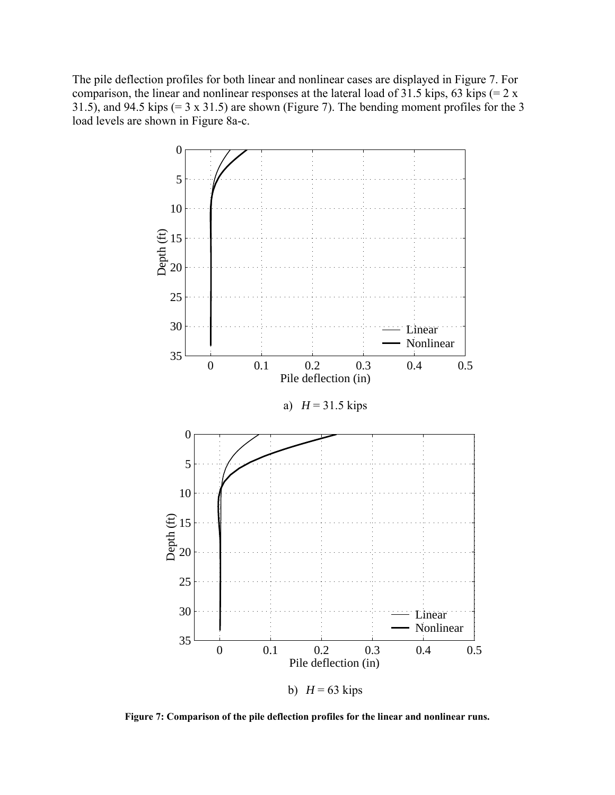The pile deflection profiles for both linear and nonlinear cases are displayed in Figure 7. For comparison, the linear and nonlinear responses at the lateral load of 31.5 kips, 63 kips  $(= 2 \times 10^{-10})$ 31.5), and 94.5 kips  $(= 3 \times 31.5)$  are shown (Figure 7). The bending moment profiles for the 3 load levels are shown in Figure 8a-c.



**Figure 7: Comparison of the pile deflection profiles for the linear and nonlinear runs.**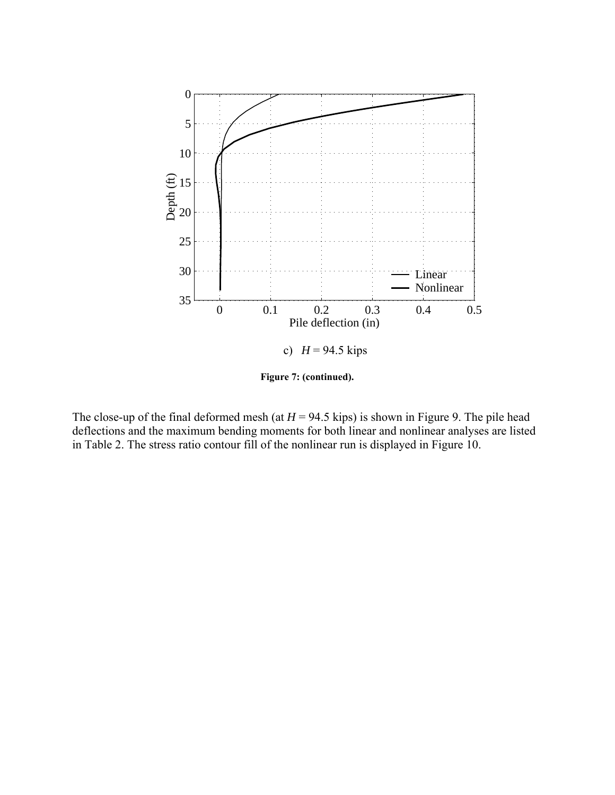

**Figure 7: (continued).** 

The close-up of the final deformed mesh (at  $H = 94.5$  kips) is shown in Figure 9. The pile head deflections and the maximum bending moments for both linear and nonlinear analyses are listed in Table 2. The stress ratio contour fill of the nonlinear run is displayed in Figure 10.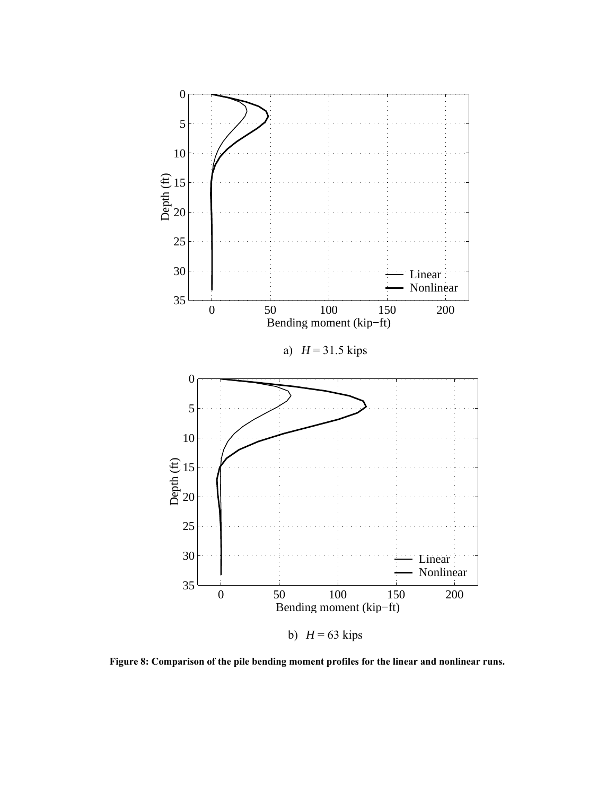

**Figure 8: Comparison of the pile bending moment profiles for the linear and nonlinear runs.**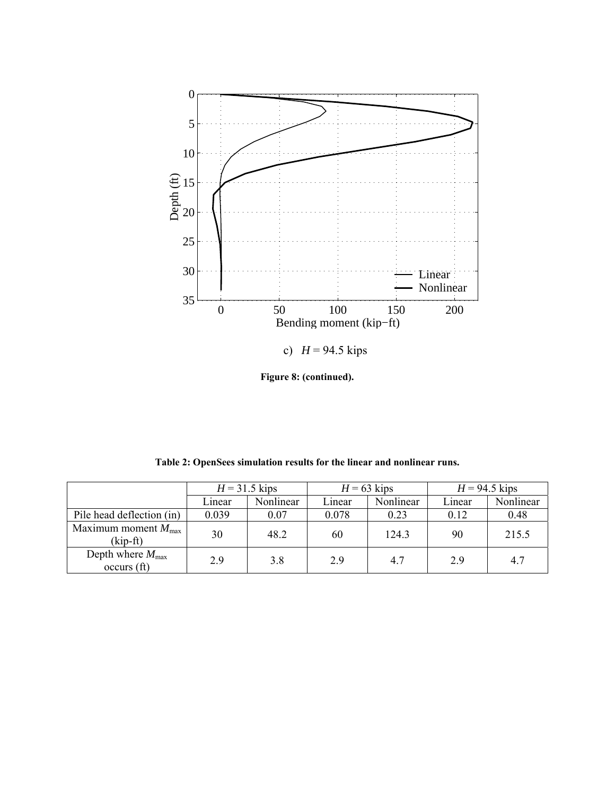

**Figure 8: (continued).** 

**Table 2: OpenSees simulation results for the linear and nonlinear runs.** 

|                                                         | $H = 31.5$ kips |           | $H = 63$ kips |           | $H = 94.5$ kips |           |
|---------------------------------------------------------|-----------------|-----------|---------------|-----------|-----------------|-----------|
|                                                         | Linear          | Nonlinear | Linear        | Nonlinear | Linear          | Nonlinear |
| Pile head deflection (in)                               | 0.039           | 0.07      | 0.078         | 0.23      | 0.12            | 0.48      |
| Maximum moment $M_{\text{max}}$<br>$(kip-ft)$           | 30              | 48.2      | 60            | 124.3     | 90              | 215.5     |
| Depth where $M_{\text{max}}$<br>occurs(f <sub>t</sub> ) | 2.9             | 3.8       | 2.9           | 4.7       | 2.9             | 4.7       |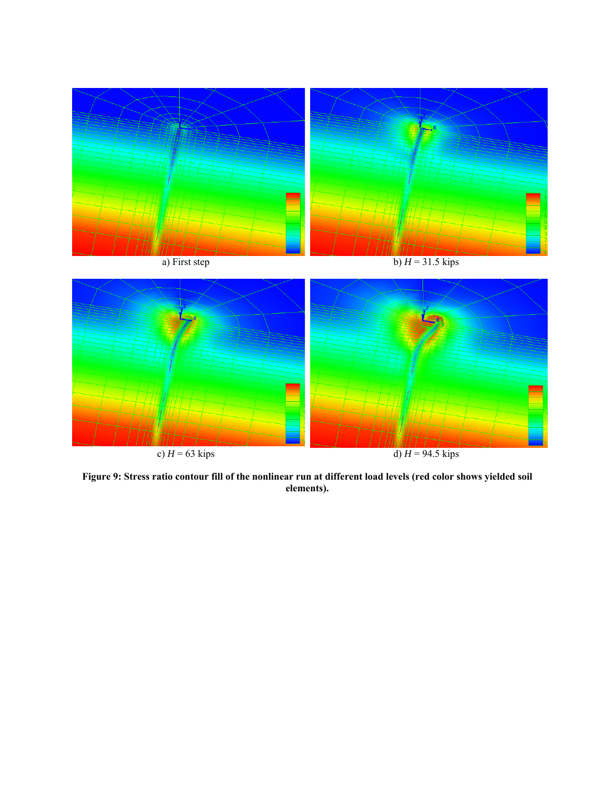

**Figure 9: Stress ratio contour fill of the nonlinear run at different load levels (red color shows yielded soil elements).**